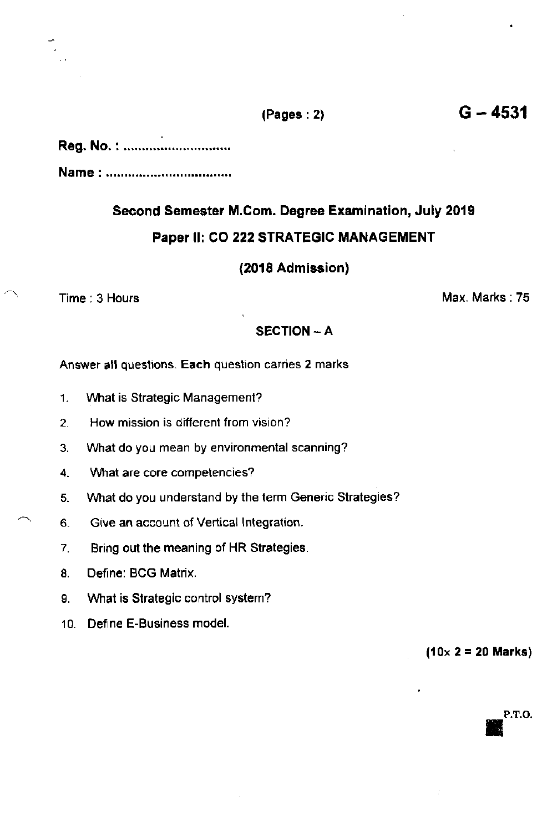## $(Pages : 2)$  G  $- 4531$

## Reg. No. :

Name :

# Second Semester M.Com. Degree Examination, July 2019 Paper ll: CO 222 STRATEGIC MANAGEMENT

#### (2018 Admission)

## SECTION - A

Answer all questions. Each question carries 2 marks

- 1. Vvhat is Strategic Management?
- 2. How mission is different from vision?
- 3. What do you mean by environmental scanning?
- 4. What are core competencies?
- 5. Vvhat do you understand by the term Generic Strategies?
- 6. Give an account of Vertical lntegration.
- 7. Bring out the meaning of HR Strategies.
- 8. Define: BCG Matrix.
- 9. Vvhat is Strategic control system?
- 10. Define E-Business model.

 $(10 \times 2 = 20$  Marks)

# P.T.O.

 $\bigcap$  Time : 3 Hours Max, Marks : 75